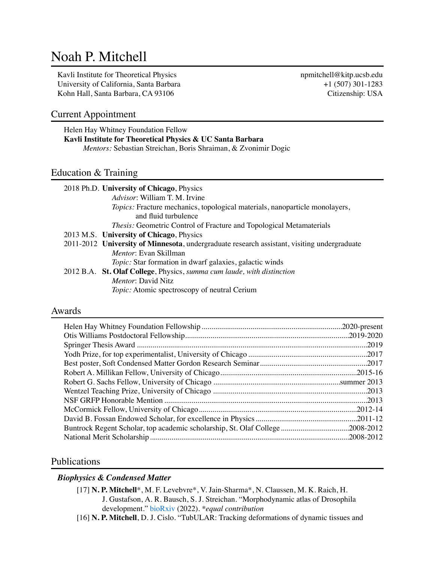# Noah P. Mitchell

Kavli Institute for Theoretical Physics npmitchell@kitp.ucsb.edu University of California, Santa Barbara  $+1$  (507) 301-1283 Kohn Hall, Santa Barbara, CA 93106 Citizenship: USA

# Current Appointment

Helen Hay Whitney Foundation Fellow **Kavli Institute for Theoretical Physics & UC Santa Barbara** *Mentors:* Sebastian Streichan, Boris Shraiman, & Zvonimir Dogic

# Education & Training

|  | 2018 Ph.D. University of Chicago, Physics                                                   |
|--|---------------------------------------------------------------------------------------------|
|  | Advisor: William T. M. Irvine                                                               |
|  | Topics: Fracture mechanics, topological materials, nanoparticle monolayers,                 |
|  | and fluid turbulence                                                                        |
|  | <i>Thesis:</i> Geometric Control of Fracture and Topological Metamaterials                  |
|  | 2013 M.S. University of Chicago, Physics                                                    |
|  | 2011-2012 University of Minnesota, undergraduate research assistant, visiting undergraduate |
|  | Mentor: Evan Skillman                                                                       |
|  | <i>Topic:</i> Star formation in dwarf galaxies, galactic winds                              |
|  | 2012 B.A. St. Olaf College, Physics, summa cum laude, with distinction                      |
|  | <i>Mentor:</i> David Nitz                                                                   |
|  | <i>Topic:</i> Atomic spectroscopy of neutral Cerium                                         |
|  |                                                                                             |

## Awards

| Buntrock Regent Scholar, top academic scholarship, St. Olaf College2008-2012 |            |
|------------------------------------------------------------------------------|------------|
|                                                                              | .2008-2012 |
|                                                                              |            |

# Publications

# *Biophysics & Condensed Matter*

- [17] **N. P. Mitchell**\*, M. F. Levebvre\*, V. Jain-Sharma\*, N. Claussen, M. K. Raich, H. J. Gustafson, A. R. Bausch, S. J. Streichan. "Morphodynamic atlas of Drosophila development." [bioRxiv](https://www.biorxiv.org/content/10.1101/2022.05.26.493584v1) (2022). *\*equal contribution*
- [16] **N. P. Mitchell**, D. J. Cislo. "TubULAR: Tracking deformations of dynamic tissues and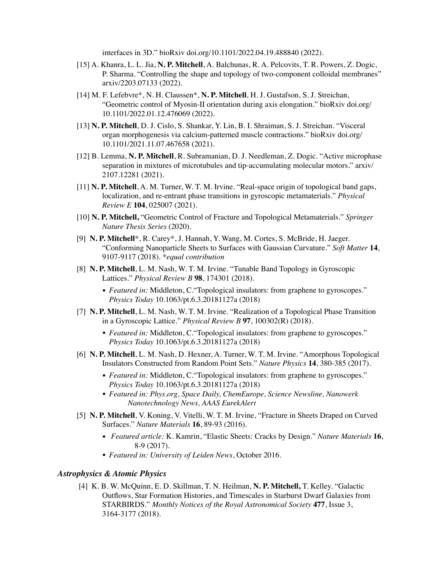interfaces in 3D." bioRxiv doi.org/10.1101/2022.04.19.488840 (2022).

- [15] A. Khanra, L. L. Jia, **N. P. Mitchell**, A. Balchunas, R. A. Pelcovits, T. R. Powers, Z. Dogic, P. Sharma. "Controlling the shape and topology of two-component colloidal membranes" arxiv/2203.07133 (2022).
- [14] M. F. Lefebvre\*, N. H. Claussen\*, **N. P. Mitchell**, H. J. Gustafson, S. J. Streichan, "Geometric control of Myosin-II orientation during axis elongation." bioRxiv doi.org/ 10.1101/2022.01.12.476069 (2022).
- [13] **N. P. Mitchell**, D. J. Cislo, S. Shankar, Y. Lin, B. I. Shraiman, S. J. Streichan. "Visceral organ morphogenesis via calcium-patterned muscle contractions." bioRxiv doi.org/ 10.1101/2021.11.07.467658 (2021).
- [12] B. Lemma, **N. P. Mitchell**, R. Subramanian, D. J. Needleman, Z. Dogic. "Active microphase separation in mixtures of microtubules and tip-accumulating molecular motors." arxiv/ 2107.12281 (2021).
- [11] **N. P. Mitchell**, A. M. Turner, W. T. M. Irvine. "Real-space origin of topological band gaps, localization, and re-entrant phase transitions in gyroscopic metamaterials." *Physical Review E* **104**, 025007 (2021).
- [10] **N. P. Mitchell,** "Geometric Control of Fracture and Topological Metamaterials." *Springer Nature Thesis Series* (2020).
- [9] **N. P. Mitchell**\*, R. Carey\*, J. Hannah, Y. Wang, M. Cortes, S. McBride, H. Jaeger. "Conforming Nanoparticle Sheets to Surfaces with Gaussian Curvature." *Soft Matter* **14**, 9107-9117 (2018). *\*equal contribution*
- [8] **N. P. Mitchell**, L. M. Nash, W. T. M. Irvine. "Tunable Band Topology in Gyroscopic Lattices." *Physical Review B* **98**, 174301 (2018).
	- *Featured in:* Middleton, C. "Topological insulators: from graphene to gyroscopes." *Physics Today* 10.1063/pt.6.3.20181127a (2018)
- [7] **N. P. Mitchell**, L. M. Nash, W. T. M. Irvine. "Realization of a Topological Phase Transition in a Gyroscopic Lattice." *Physical Review B* **97**, 100302(R) (2018).
	- *Featured in:* Middleton, C. Topological insulators: from graphene to gyroscopes." *Physics Today* 10.1063/pt.6.3.20181127a (2018)
- [6] **N. P. Mitchell**, L. M. Nash, D. Hexner, A. Turner, W. T. M. Irvine. "Amorphous Topological Insulators Constructed from Random Point Sets." *Nature Physics* **14**, 380-385 (2017).
	- *Featured in:* Middleton, C. "Topological insulators: from graphene to gyroscopes." *Physics Today* 10.1063/pt.6.3.20181127a (2018)
	- *• Featured in: Phys.org, Space Daily, ChemEurope, Science Newsline, Nanowerk Nanotechnology News, AAAS EurekAlert*
- [5] **N. P. Mitchell**, V. Koning, V. Vitelli, W. T. M. Irvine, "Fracture in Sheets Draped on Curved Surfaces." *Nature Materials* **16**, 89-93 (2016).
	- *• Featured article:* K. Kamrin, "Elastic Sheets: Cracks by Design." *Nature Materials* **16**, 8-9 (2017).
	- *• Featured in: University of Leiden News*, October 2016.

#### *Astrophysics & Atomic Physics*

 [4] K. B. W. McQuinn, E. D. Skillman, T. N. Heilman, **N. P. Mitchell,** T. Kelley. "Galactic Outflows, Star Formation Histories, and Timescales in Starburst Dwarf Galaxies from STARBIRDS." *Monthly Notices of the Royal Astronomical Society* **477**, Issue 3, 3164-3177 (2018).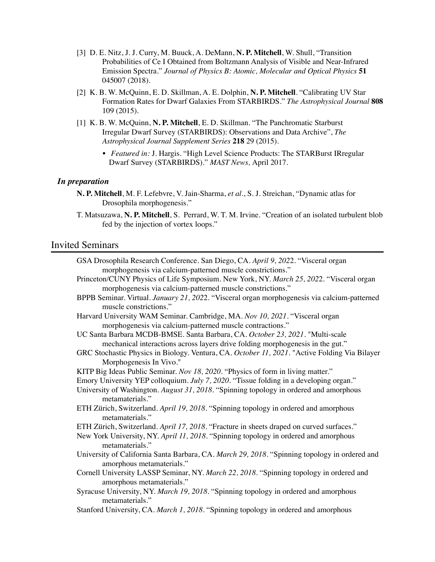- [3] D. E. Nitz, J. J. Curry, M. Buuck, A. DeMann, **N. P. Mitchell**, W. Shull, "Transition Probabilities of Ce I Obtained from Boltzmann Analysis of Visible and Near-Infrared Emission Spectra." *Journal of Physics B: Atomic, Molecular and Optical Physics* **51** 045007 (2018).
- [2] K. B. W. McQuinn, E. D. Skillman, A. E. Dolphin, **N. P. Mitchell**. "Calibrating UV Star Formation Rates for Dwarf Galaxies From STARBIRDS." *The Astrophysical Journal* **808**  109 (2015).
- [1] K. B. W. McQuinn, **N. P. Mitchell**, E. D. Skillman. "The Panchromatic Starburst Irregular Dwarf Survey (STARBIRDS): Observations and Data Archive", *The Astrophysical Journal Supplement Series* **218** 29 (2015).
	- *• Featured in:* J. Hargis. "High Level Science Products: The STARBurst IRregular Dwarf Survey (STARBIRDS)." *MAST News,* April 2017.

#### *In preparation*

- **N. P. Mitchell**, M. F. Lefebvre, V. Jain-Sharma, *et al.*, S. J. Streichan, "Dynamic atlas for Drosophila morphogenesis."
- T. Matsuzawa, **N. P. Mitchell**, S. Perrard, W. T. M. Irvine. "Creation of an isolated turbulent blob fed by the injection of vortex loops."

### Invited Seminars

| GSA Drosophila Research Conference. San Diego, CA. April 9, 2022. "Visceral organ                                          |
|----------------------------------------------------------------------------------------------------------------------------|
| morphogenesis via calcium-patterned muscle constrictions."                                                                 |
| Princeton/CUNY Physics of Life Symposium. New York, NY. March 25, 2022. "Visceral organ                                    |
| morphogenesis via calcium-patterned muscle constrictions."                                                                 |
| BPPB Seminar. Virtual. January 21, 2022. "Visceral organ morphogenesis via calcium-patterned<br>muscle constrictions."     |
| Harvard University WAM Seminar. Cambridge, MA. Nov 10, 2021. "Visceral organ                                               |
| morphogenesis via calcium-patterned muscle contractions."                                                                  |
| UC Santa Barbara MCDB-BMSE. Santa Barbara, CA. October 23, 2021. "Multi-scale                                              |
| mechanical interactions across layers drive folding morphogenesis in the gut."                                             |
| GRC Stochastic Physics in Biology. Ventura, CA. October 11, 2021. "Active Folding Via Bilayer                              |
| Morphogenesis In Vivo."                                                                                                    |
| KITP Big Ideas Public Seminar. Nov 18, 2020. "Physics of form in living matter."                                           |
| Emory University YEP colloquium. July 7, 2020. "Tissue folding in a developing organ."                                     |
| University of Washington. August 31, 2018. "Spinning topology in ordered and amorphous<br>metamaterials."                  |
| ETH Zürich, Switzerland. April 19, 2018. "Spinning topology in ordered and amorphous<br>metamaterials."                    |
| ETH Zürich, Switzerland. April 17, 2018. "Fracture in sheets draped on curved surfaces."                                   |
| New York University, NY. April 11, 2018. "Spinning topology in ordered and amorphous<br>metamaterials."                    |
| University of California Santa Barbara, CA. March 29, 2018. "Spinning topology in ordered and<br>amorphous metamaterials." |
| Cornell University LASSP Seminar, NY. March 22, 2018. "Spinning topology in ordered and<br>amorphous metamaterials."       |
| Syracuse University, NY. March 19, 2018. "Spinning topology in ordered and amorphous<br>metamaterials."                    |
| Stanford University, CA. March 1, 2018. "Spinning topology in ordered and amorphous                                        |
|                                                                                                                            |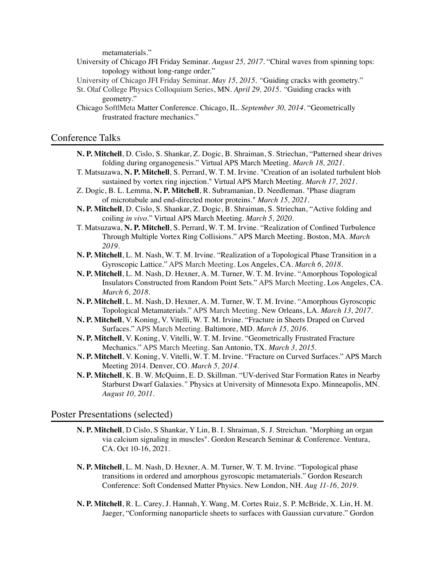metamaterials."

- University of Chicago JFI Friday Seminar. *August 25, 2017.* "Chiral waves from spinning tops: topology without long-range order."
- University of Chicago JFI Friday Seminar. *May 15, 2015. "*Guiding cracks with geometry."
- St. Olaf College Physics Colloquium Series, MN. *April 29, 2015. "*Guiding cracks with geometry."
- Chicago Soft|Meta Matter Conference. Chicago, IL. *September 30, 2014.* "Geometrically frustrated fracture mechanics."

# Conference Talks

- **N. P. Mitchell**, D. Cislo, S. Shankar, Z. Dogic, B. Shraiman, S. Striechan, "Patterned shear drives folding during organogenesis." Virtual APS March Meeting. *March 18, 2021*.
- T. Matsuzawa, **N. P. Mitchell**, S. Perrard, W. T. M. Irvine. "Creation of an isolated turbulent blob sustained by vortex ring injection." Virtual APS March Meeting. *March 17, 2021*.
- Z. Dogic, B. L. Lemma, **N. P. Mitchell**, R. Subramanian, D. Needleman. "Phase diagram of microtubule and end-directed motor proteins." *March 15, 2021*.
- **N. P. Mitchell**, D. Cislo, S. Shankar, Z. Dogic, B. Shraiman, S. Striechan, "Active folding and coiling *in vivo*." Virtual APS March Meeting. *March 5, 2020*.
- T. Matsuzawa, **N. P. Mitchell**, S. Perrard, W. T. M. Irvine. "Realization of Confined Turbulence Through Multiple Vortex Ring Collisions." APS March Meeting. Boston, MA. *March 2019*.
- **N. P. Mitchell**, L. M. Nash, W. T. M. Irvine. "Realization of a Topological Phase Transition in a Gyroscopic Lattice." APS March Meeting. Los Angeles, CA. *March 6, 2018.*
- **N. P. Mitchell**, L. M. Nash, D. Hexner, A. M. Turner, W. T. M. Irvine. "Amorphous Topological Insulators Constructed from Random Point Sets." APS March Meeting. Los Angeles, CA. *March 6, 2018.*
- **N. P. Mitchell**, L. M. Nash, D. Hexner, A. M. Turner, W. T. M. Irvine. "Amorphous Gyroscopic Topological Metamaterials." APS March Meeting. New Orleans, LA. *March 13, 2017.*
- **N. P. Mitchell**, V. Koning, V. Vitelli, W. T. M. Irvine. "Fracture in Sheets Draped on Curved Surfaces." APS March Meeting. Baltimore, MD. *March 15, 2016.*
- **N. P. Mitchell**, V. Koning, V. Vitelli, W. T. M. Irvine. "Geometrically Frustrated Fracture Mechanics." APS March Meeting. San Antonio, TX. *March 3, 2015.*
- **N. P. Mitchell**, V. Koning, V. Vitelli, W. T. M. Irvine. "Fracture on Curved Surfaces." APS March Meeting 2014. Denver, CO. *March 5, 2014.*
- **N. P. Mitchell**, K. B. W. McQuinn, E. D. Skillman. "UV-derived Star Formation Rates in Nearby Starburst Dwarf Galaxies.*"* Physics at University of Minnesota Expo. Minneapolis, MN. *August 10, 2011.*

#### Poster Presentations (selected)

- **N. P. Mitchell**, D Cislo, S Shankar, Y Lin, B. I. Shraiman, S. J. Streichan. "Morphing an organ via calcium signaling in muscles". Gordon Research Seminar & Conference. Ventura, CA. Oct 10-16, 2021.
- **N. P. Mitchell**, L. M. Nash, D. Hexner, A. M. Turner, W. T. M. Irvine. "Topological phase transitions in ordered and amorphous gyroscopic metamaterials." Gordon Research Conference: Soft Condensed Matter Physics. New London, NH. *Aug 11-16, 2019*.
- **N. P. Mitchell**, R. L. Carey, J. Hannah, Y. Wang, M. Cortes Ruiz, S. P. McBride, X. Lin, H. M. Jaeger, "Conforming nanoparticle sheets to surfaces with Gaussian curvature." Gordon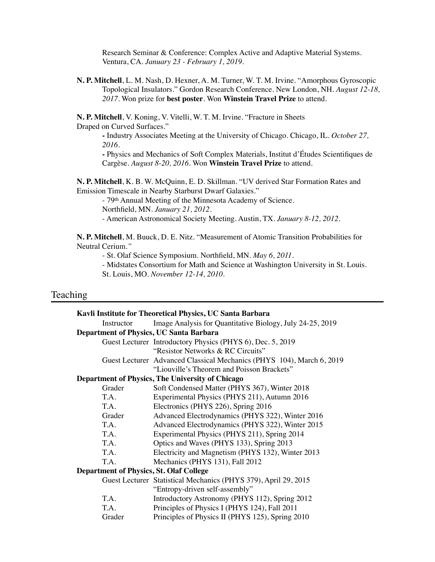Research Seminar & Conference: Complex Active and Adaptive Material Systems. Ventura, CA. *January 23 - February 1, 2019*.

**N. P. Mitchell**, L. M. Nash, D. Hexner, A. M. Turner, W. T. M. Irvine. "Amorphous Gyroscopic Topological Insulators." Gordon Research Conference. New London, NH. *August 12-18, 2017*. Won prize for **best poster**. Won **Winstein Travel Prize** to attend.

**N. P. Mitchell**, V. Koning, V. Vitelli, W. T. M. Irvine. "Fracture in Sheets Draped on Curved Surfaces."

> **-** Industry Associates Meeting at the University of Chicago. Chicago, IL. *October 27, 2016.*

**-** Physics and Mechanics of Soft Complex Materials, Institut d'Études Scientifiques de Cargèse. *August 8-20, 2016.* Won **Winstein Travel Prize** to attend.

**N. P. Mitchell**, K. B. W. McQuinn, E. D. Skillman. "UV derived Star Formation Rates and Emission Timescale in Nearby Starburst Dwarf Galaxies."

- 79th Annual Meeting of the Minnesota Academy of Science.

Northfield, MN. *January 21, 2012.*

- American Astronomical Society Meeting. Austin, TX. *January 8-12, 2012.*

**N. P. Mitchell**, M. Buuck, D. E. Nitz. "Measurement of Atomic Transition Probabilities for Neutral Cerium.*"* 

- St. Olaf Science Symposium. Northfield, MN. *May 6, 2011.*

- Midstates Consortium for Math and Science at Washington University in St. Louis. St. Louis, MO. *November 12-14, 2010.* 

## Teaching

|                                                | Kavli Institute for Theoretical Physics, UC Santa Barbara             |  |  |  |
|------------------------------------------------|-----------------------------------------------------------------------|--|--|--|
| Instructor                                     | Image Analysis for Quantitative Biology, July 24-25, 2019             |  |  |  |
| Department of Physics, UC Santa Barbara        |                                                                       |  |  |  |
|                                                | Guest Lecturer Introductory Physics (PHYS 6), Dec. 5, 2019            |  |  |  |
|                                                | "Resistor Networks & RC Circuits"                                     |  |  |  |
|                                                | Guest Lecturer Advanced Classical Mechanics (PHYS 104), March 6, 2019 |  |  |  |
|                                                | "Liouville's Theorem and Poisson Brackets"                            |  |  |  |
|                                                | <b>Department of Physics, The University of Chicago</b>               |  |  |  |
| Grader                                         | Soft Condensed Matter (PHYS 367), Winter 2018                         |  |  |  |
| T.A.                                           | Experimental Physics (PHYS 211), Autumn 2016                          |  |  |  |
| T.A.                                           | Electronics (PHYS 226), Spring 2016                                   |  |  |  |
| Grader                                         | Advanced Electrodynamics (PHYS 322), Winter 2016                      |  |  |  |
| T.A.                                           | Advanced Electrodynamics (PHYS 322), Winter 2015                      |  |  |  |
| T.A.                                           | Experimental Physics (PHYS 211), Spring 2014                          |  |  |  |
| T.A.                                           | Optics and Waves (PHYS 133), Spring 2013                              |  |  |  |
| T.A.                                           | Electricity and Magnetism (PHYS 132), Winter 2013                     |  |  |  |
| T.A.                                           | Mechanics (PHYS 131), Fall 2012                                       |  |  |  |
| <b>Department of Physics, St. Olaf College</b> |                                                                       |  |  |  |
|                                                | Guest Lecturer Statistical Mechanics (PHYS 379), April 29, 2015       |  |  |  |
|                                                | "Entropy-driven self-assembly"                                        |  |  |  |
| T.A.                                           | Introductory Astronomy (PHYS 112), Spring 2012                        |  |  |  |
| T.A.                                           | Principles of Physics I (PHYS 124), Fall 2011                         |  |  |  |
| Grader                                         | Principles of Physics II (PHYS 125), Spring 2010                      |  |  |  |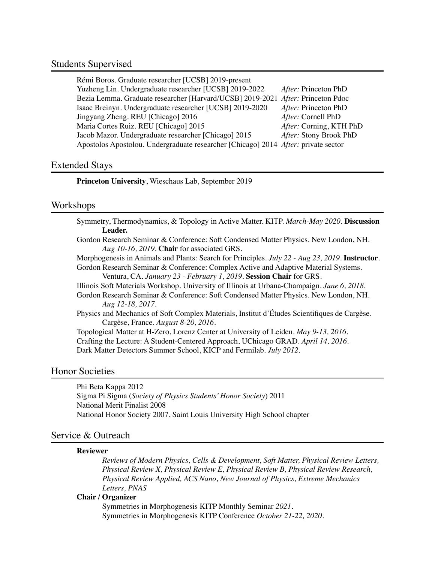#### Students Supervised

| Rémi Boros. Graduate researcher [UCSB] 2019-present                                |                         |
|------------------------------------------------------------------------------------|-------------------------|
| Yuzheng Lin. Undergraduate researcher [UCSB] 2019-2022                             | After: Princeton PhD    |
| Bezia Lemma. Graduate researcher [Harvard/UCSB] 2019-2021 After: Princeton Pdoc    |                         |
| Isaac Breinyn. Undergraduate researcher [UCSB] 2019-2020                           | After: Princeton PhD    |
| Jingyang Zheng. REU [Chicago] 2016                                                 | After: Cornell PhD      |
| Maria Cortes Ruiz. REU [Chicago] 2015                                              | After: Corning, KTH PhD |
| Jacob Mazor. Undergraduate researcher [Chicago] 2015                               | After: Stony Brook PhD  |
| Apostolos Apostolou. Undergraduate researcher [Chicago] 2014 After: private sector |                         |
|                                                                                    |                         |

## Extended Stays

**Princeton University**, Wieschaus Lab, September 2019

## Workshops

|         | Symmetry, Thermodynamics, & Topology in Active Matter. KITP. March-May 2020. Discussion |  |  |  |
|---------|-----------------------------------------------------------------------------------------|--|--|--|
| Leader. |                                                                                         |  |  |  |
|         | Condan Descend Cominen & Conference: Coft Condanced Metter Device, New London, MIL      |  |  |  |

Gordon Research Seminar & Conference: Soft Condensed Matter Physics. New London, NH. *Aug 10-16, 2019*. **Chair** for associated GRS.

Morphogenesis in Animals and Plants: Search for Principles. *July 22 - Aug 23, 2019.* **Instructor**. Gordon Research Seminar & Conference: Complex Active and Adaptive Material Systems.

Ventura, CA. *January 23 - February 1, 2019*. **Session Chair** for GRS.

Illinois Soft Materials Workshop. University of Illinois at Urbana-Champaign. *June 6, 2018*.

Gordon Research Seminar & Conference: Soft Condensed Matter Physics. New London, NH. *Aug 12-18, 2017*.

Physics and Mechanics of Soft Complex Materials, Institut d'Études Scientifiques de Cargèse. Cargèse, France. *August 8-20, 2016.*

Topological Matter at H-Zero, Lorenz Center at University of Leiden. *May 9-13, 2016.* 

Crafting the Lecture: A Student-Centered Approach, UChicago GRAD. *April 14, 2016.*

Dark Matter Detectors Summer School, KICP and Fermilab. *July 2012.*

# Honor Societies

Phi Beta Kappa 2012 Sigma Pi Sigma (*Society of Physics Students' Honor Society*) 2011 National Merit Finalist 2008 National Honor Society 2007, Saint Louis University High School chapter

#### Service & Outreach

#### **Reviewer**

*Reviews of Modern Physics, Cells & Development, Soft Matter, Physical Review Letters, Physical Review X, Physical Review E, Physical Review B, Physical Review Research, Physical Review Applied, ACS Nano, New Journal of Physics, Extreme Mechanics Letters, PNAS*

#### **Chair / Organizer**

Symmetries in Morphogenesis KITP Monthly Seminar *2021.*  Symmetries in Morphogenesis KITP Conference *October 21-22, 2020.*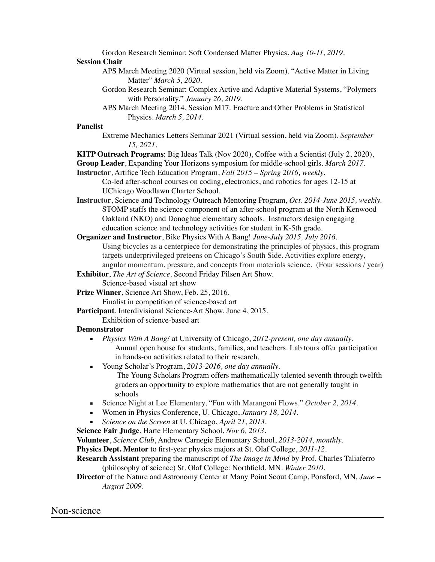Gordon Research Seminar: Soft Condensed Matter Physics. *Aug 10-11, 2019*.

#### **Session Chair**

- APS March Meeting 2020 (Virtual session, held via Zoom). "Active Matter in Living Matter" *March 5, 2020*.
- Gordon Research Seminar: Complex Active and Adaptive Material Systems, "Polymers with Personality." *January 26, 2019*.
- APS March Meeting 2014, Session M17: Fracture and Other Problems in Statistical Physics. *March 5, 2014.*

## **Panelist**

Extreme Mechanics Letters Seminar 2021 (Virtual session, held via Zoom). *September 15, 2021*.

**KITP Outreach Programs**: Big Ideas Talk (Nov 2020), Coffee with a Scientist (July 2, 2020),

- **Group Leader**, Expanding Your Horizons symposium for middle-school girls. *March 2017.* **Instructor**, Artifice Tech Education Program, *Fall 2015 – Spring 2016, weekly.* 
	- Co-led after-school courses on coding, electronics, and robotics for ages 12-15 at UChicago Woodlawn Charter School.
- **Instructor**, Science and Technology Outreach Mentoring Program, *Oct. 2014-June 2015, weekly.*  STOMP staffs the science component of an after-school program at the North Kenwood Oakland (NKO) and Donoghue elementary schools. Instructors design engaging education science and technology activities for student in K-5th grade.
- **Organizer and Instructor**, Bike Physics With A Bang! *June-July 2015, July 2016.*  Using bicycles as a centerpiece for demonstrating the principles of physics, this program targets underprivileged preteens on Chicago's South Side. Activities explore energy, angular momentum, pressure, and concepts from materials science. (Four sessions / year)
- **Exhibitor**, *The Art of Science,* Second Friday Pilsen Art Show. Science-based visual art show

**Prize Winner**, Science Art Show, Feb. 25, 2016.

Finalist in competition of science-based art

**Participant**, Interdivisional Science-Art Show, June 4, 2015.

Exhibition of science-based art

#### **Demonstrator**

- *Physics With A Bang!* at University of Chicago, *2012-present, one day annually.* Annual open house for students, families, and teachers. Lab tours offer participation in hands-on activities related to their research.
- Young Scholar's Program, *2013-2016, one day annually.* 
	- The Young Scholars Program offers mathematically talented seventh through twelfth graders an opportunity to explore mathematics that are not generally taught in schools
- Science Night at Lee Elementary, "Fun with Marangoni Flows." *October 2, 2014.*
- Women in Physics Conference, U. Chicago, *January 18, 2014*.
- *Science on the Screen* at U. Chicago, *April 21, 2013.*
- **Science Fair Judge**, Harte Elementary School, *Nov 6, 2013*.

**Volunteer**, *Science Club*, Andrew Carnegie Elementary School, *2013-2014, monthly*.

**Physics Dept. Mentor** to first-year physics majors at St. Olaf College, *2011-12.* 

- **Research Assistant** preparing the manuscript of *The Image in Mind* by Prof. Charles Taliaferro (philosophy of science) St. Olaf College: Northfield, MN. *Winter 2010.*
- **Director** of the Nature and Astronomy Center at Many Point Scout Camp, Ponsford, MN*, June – August 2009.*

# Non-science